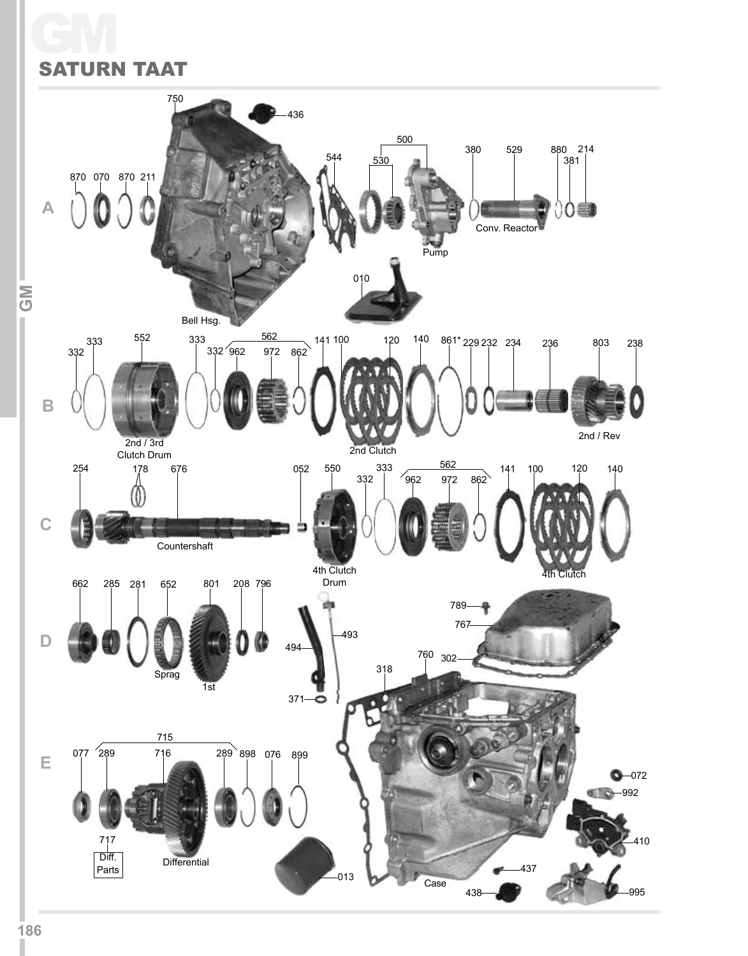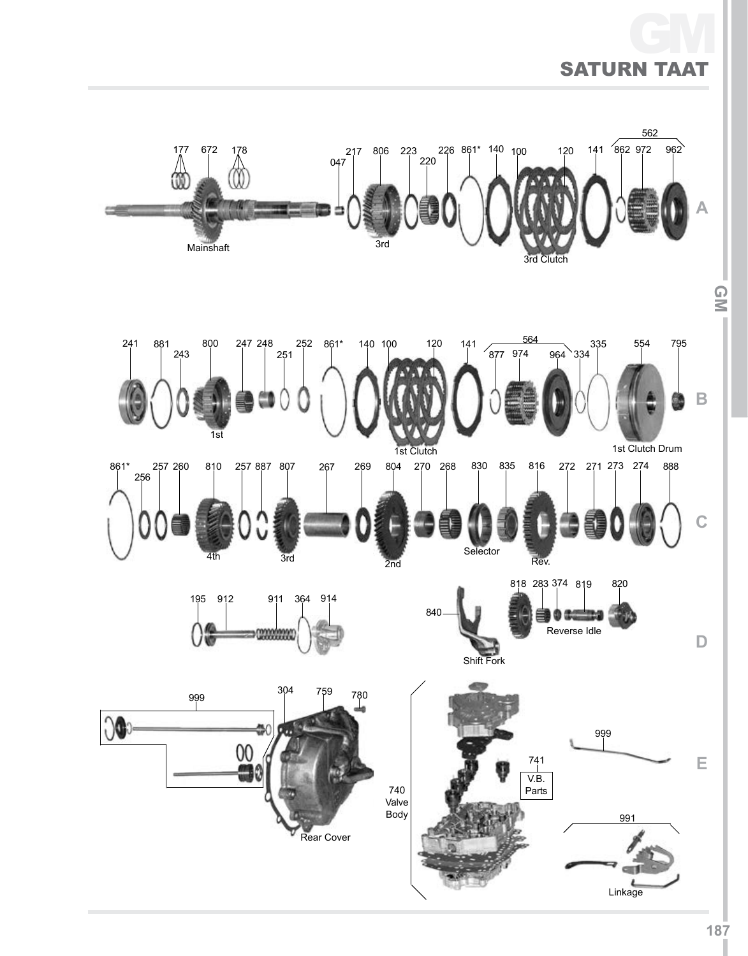# Saturn TAAT GM

![](_page_1_Figure_1.jpeg)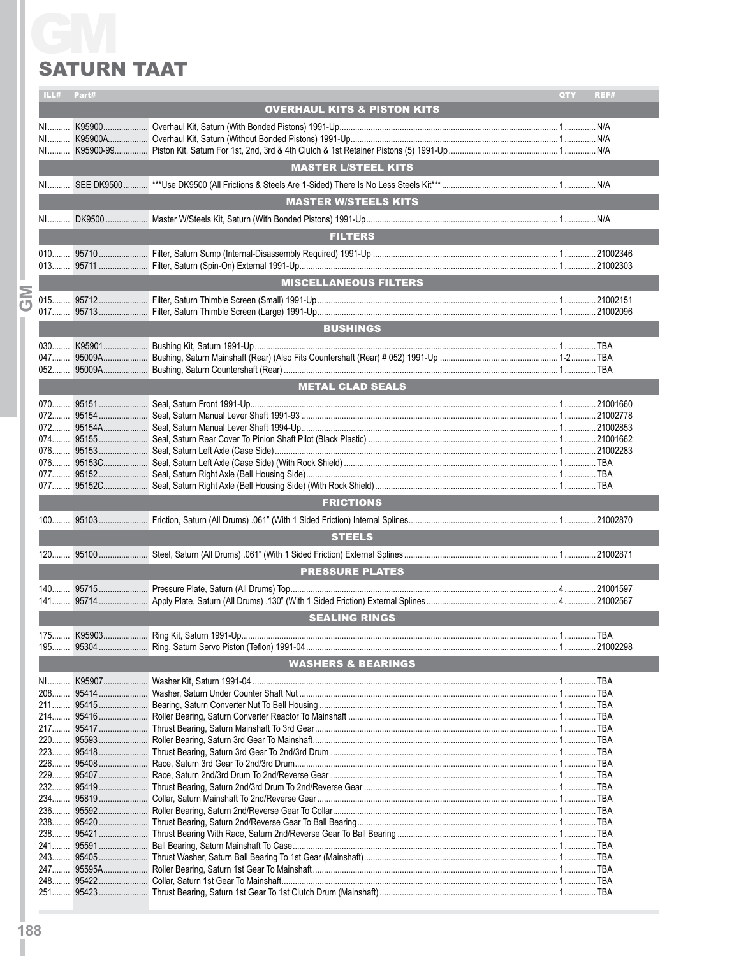|           | ILL#             | Part#   |                                        | QTY | REF# |  |
|-----------|------------------|---------|----------------------------------------|-----|------|--|
|           |                  |         | <b>OVERHAUL KITS &amp; PISTON KITS</b> |     |      |  |
|           |                  |         |                                        |     |      |  |
|           |                  |         |                                        |     |      |  |
|           |                  |         |                                        |     |      |  |
|           |                  |         |                                        |     |      |  |
|           |                  |         | <b>MASTER L/STEEL KITS</b>             |     |      |  |
|           |                  |         |                                        |     |      |  |
|           |                  |         |                                        |     |      |  |
|           |                  |         | <b>MASTER W/STEELS KITS</b>            |     |      |  |
|           |                  |         |                                        |     |      |  |
|           |                  |         | <b>FILTERS</b>                         |     |      |  |
|           |                  |         |                                        |     |      |  |
|           |                  |         |                                        |     |      |  |
|           |                  |         |                                        |     |      |  |
|           |                  |         | <b>MISCELLANEOUS FILTERS</b>           |     |      |  |
| <b>NO</b> |                  |         |                                        |     |      |  |
|           |                  |         |                                        |     |      |  |
|           |                  |         | <b>BUSHINGS</b>                        |     |      |  |
|           |                  |         |                                        |     |      |  |
|           |                  |         |                                        |     |      |  |
|           |                  |         |                                        |     |      |  |
|           |                  |         |                                        |     |      |  |
|           |                  |         | <b>METAL CLAD SEALS</b>                |     |      |  |
|           |                  |         |                                        |     |      |  |
|           |                  |         |                                        |     |      |  |
|           |                  |         |                                        |     |      |  |
|           |                  |         |                                        |     |      |  |
|           |                  |         |                                        |     |      |  |
|           |                  |         |                                        |     |      |  |
|           |                  |         |                                        |     |      |  |
|           |                  |         |                                        |     |      |  |
|           | <b>FRICTIONS</b> |         |                                        |     |      |  |
|           |                  |         |                                        |     |      |  |
|           |                  |         | <b>STEELS</b>                          |     |      |  |
|           |                  |         |                                        |     |      |  |
|           |                  |         |                                        |     |      |  |
|           |                  |         | <b>PRESSURE PLATES</b>                 |     |      |  |
|           |                  |         |                                        |     |      |  |
|           |                  |         |                                        |     |      |  |
|           |                  |         |                                        |     |      |  |
|           |                  |         | <b>SEALING RINGS</b>                   |     |      |  |
|           | 175.             | K95903. | Ring Kit. Saturn 1991-Up.              |     | TBA  |  |
|           |                  |         |                                        |     |      |  |
|           |                  |         | <b>WASHERS &amp; BEARINGS</b>          |     |      |  |
|           |                  |         |                                        |     |      |  |
|           |                  |         |                                        |     |      |  |
|           |                  |         |                                        |     |      |  |
|           |                  |         |                                        |     |      |  |
|           |                  |         |                                        |     |      |  |
|           |                  |         |                                        |     |      |  |
|           |                  |         |                                        |     |      |  |
|           |                  |         |                                        |     |      |  |
|           |                  |         |                                        |     |      |  |
|           |                  |         |                                        |     |      |  |
|           |                  |         |                                        |     |      |  |
|           |                  |         |                                        |     |      |  |
|           |                  |         |                                        |     |      |  |
|           |                  |         |                                        |     |      |  |
|           |                  |         |                                        |     |      |  |
|           |                  |         |                                        |     |      |  |
|           |                  |         |                                        |     |      |  |
|           |                  |         |                                        |     |      |  |
|           |                  |         |                                        |     |      |  |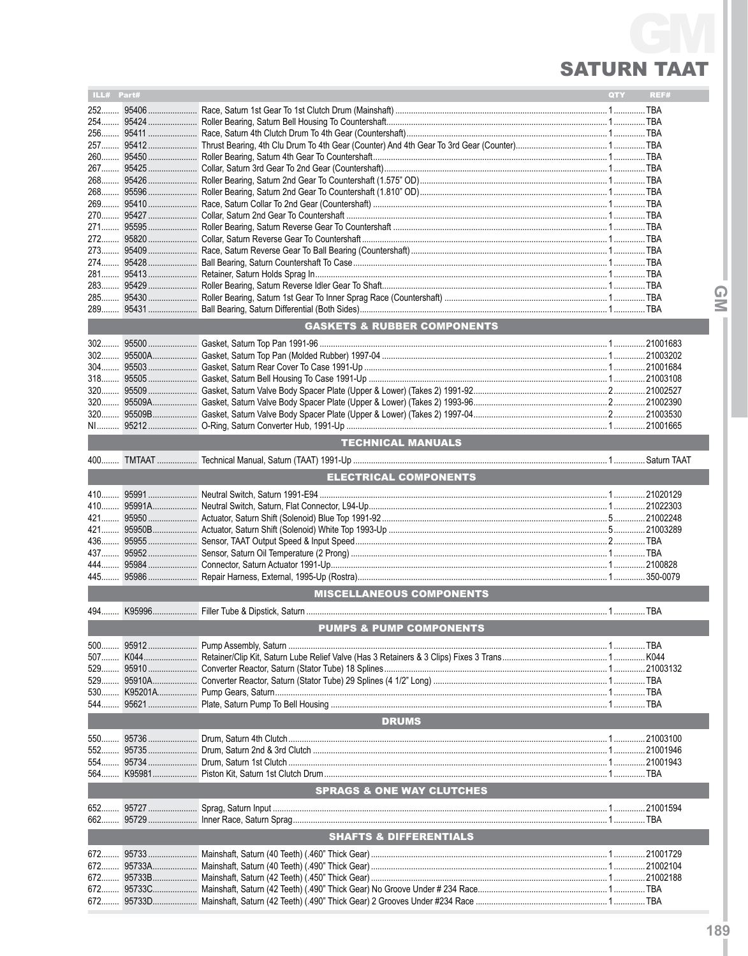| ILL# Part# |             |                                        | <b>QTY</b> | REF# |
|------------|-------------|----------------------------------------|------------|------|
| $252$      |             |                                        |            |      |
|            |             |                                        |            |      |
|            |             |                                        |            |      |
|            |             |                                        |            |      |
|            |             |                                        |            |      |
|            |             |                                        |            |      |
|            |             |                                        |            |      |
|            |             |                                        |            |      |
|            |             |                                        |            |      |
|            |             |                                        |            |      |
|            |             |                                        |            |      |
|            |             |                                        |            |      |
|            |             |                                        |            |      |
|            |             |                                        |            |      |
|            |             |                                        |            |      |
|            |             |                                        |            |      |
|            |             |                                        |            |      |
|            |             | <b>GASKETS &amp; RUBBER COMPONENTS</b> |            |      |
|            |             |                                        |            |      |
|            |             |                                        |            |      |
|            |             |                                        |            |      |
|            |             |                                        |            |      |
|            |             |                                        |            |      |
|            |             |                                        |            |      |
|            |             |                                        |            |      |
| NI         |             |                                        |            |      |
|            |             | <b>TECHNICAL MANUALS</b>               |            |      |
| $400$      |             |                                        |            |      |
|            |             | <b>ELECTRICAL COMPONENTS</b>           |            |      |
|            |             |                                        |            |      |
|            |             |                                        |            |      |
|            |             |                                        |            |      |
|            |             |                                        |            |      |
|            |             |                                        |            |      |
|            |             |                                        |            |      |
|            |             |                                        |            |      |
|            |             |                                        |            |      |
|            |             | <b>MISCELLANEOUS COMPONENTS</b>        |            |      |
| $494$      |             |                                        |            |      |
|            |             | <b>PUMPS &amp; PUMP COMPONENTS</b>     |            |      |
|            |             |                                        |            |      |
|            |             |                                        |            |      |
| 507 K044.  | 529 95910   |                                        |            |      |
| $529$      | 95910A      |                                        |            |      |
|            | 530 K95201A |                                        |            |      |
| 544        | 95621       |                                        |            |      |
|            |             | <b>DRUMS</b>                           |            |      |
|            |             |                                        |            |      |
|            |             |                                        |            |      |
| 552        | 95735       |                                        |            |      |
| $554$      |             |                                        |            |      |
|            |             |                                        |            |      |
|            |             | <b>SPRAGS &amp; ONE WAY CLUTCHES</b>   |            |      |
| 652        |             |                                        |            |      |
| 662        |             |                                        |            |      |
|            |             | <b>SHAFTS &amp; DIFFERENTIALS</b>      |            |      |
| 672        | 95733       |                                        |            |      |
| 672        |             |                                        |            |      |
| 672        | 95733B      |                                        |            |      |
| 672        | 95733C      |                                        |            |      |
| 672        | 95733D      |                                        |            |      |

 $\overline{Q}$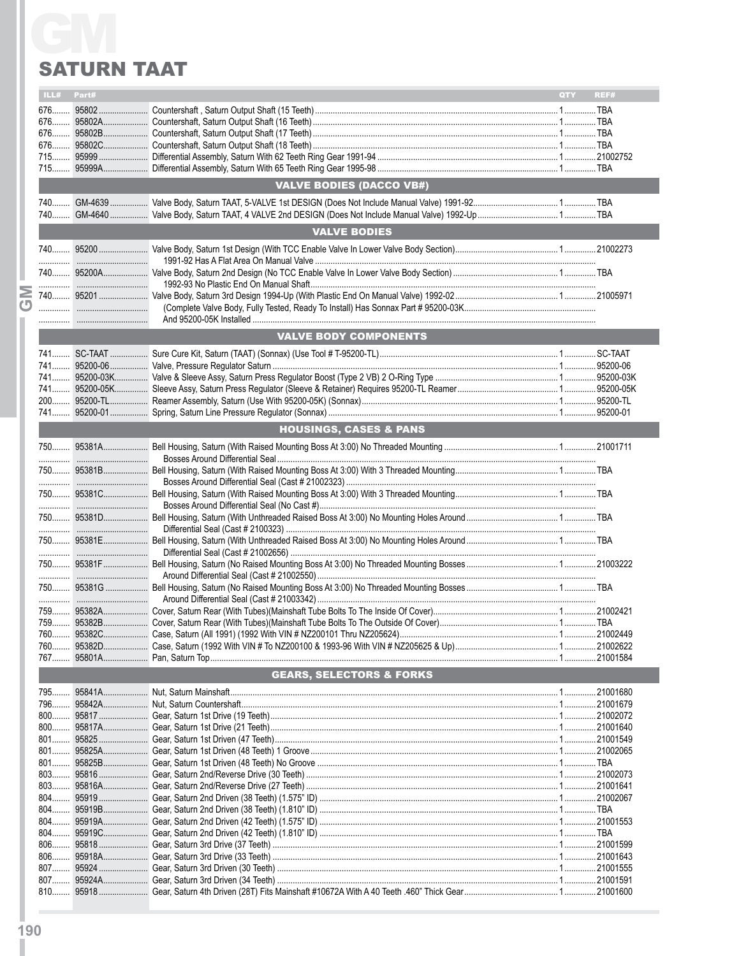|   | ILL#                                | Part# |                                   | QTY | REF#      |  |
|---|-------------------------------------|-------|-----------------------------------|-----|-----------|--|
|   |                                     |       |                                   |     |           |  |
|   |                                     |       |                                   |     |           |  |
|   |                                     |       |                                   |     |           |  |
|   |                                     |       |                                   |     |           |  |
|   |                                     |       |                                   |     |           |  |
|   |                                     |       |                                   |     |           |  |
|   | <b>VALVE BODIES (DACCO VB#)</b>     |       |                                   |     |           |  |
|   |                                     |       |                                   |     |           |  |
|   |                                     |       |                                   |     |           |  |
|   |                                     |       | <b>VALVE BODIES</b>               |     |           |  |
|   |                                     |       |                                   |     |           |  |
|   |                                     |       |                                   |     |           |  |
|   |                                     |       |                                   |     |           |  |
| Σ |                                     |       |                                   |     |           |  |
| க |                                     |       |                                   |     |           |  |
|   |                                     |       |                                   |     |           |  |
|   |                                     |       | <b>VALVE BODY COMPONENTS</b>      |     |           |  |
|   |                                     |       |                                   |     |           |  |
|   |                                     |       |                                   |     |           |  |
|   |                                     |       |                                   |     |           |  |
|   |                                     |       |                                   |     |           |  |
|   |                                     |       |                                   |     |           |  |
|   |                                     |       |                                   |     |           |  |
|   |                                     |       | <b>HOUSINGS, CASES &amp; PANS</b> |     |           |  |
|   |                                     |       |                                   |     |           |  |
|   |                                     |       |                                   |     |           |  |
|   |                                     |       |                                   |     |           |  |
|   |                                     |       |                                   |     |           |  |
|   |                                     |       |                                   |     |           |  |
|   |                                     |       |                                   |     |           |  |
|   |                                     |       |                                   |     |           |  |
|   |                                     |       |                                   |     |           |  |
|   |                                     |       |                                   |     |           |  |
|   |                                     |       |                                   |     |           |  |
|   |                                     |       |                                   |     |           |  |
|   |                                     |       |                                   |     |           |  |
|   |                                     |       |                                   |     |           |  |
|   |                                     |       |                                   |     |           |  |
|   |                                     |       |                                   |     |           |  |
|   |                                     |       |                                   |     | .21002622 |  |
|   |                                     |       |                                   |     |           |  |
|   |                                     |       |                                   |     |           |  |
|   | <b>GEARS, SELECTORS &amp; FORKS</b> |       |                                   |     |           |  |
|   |                                     |       |                                   |     |           |  |
|   | 796                                 |       |                                   |     | .21001679 |  |
|   |                                     |       |                                   |     |           |  |
|   |                                     |       |                                   |     |           |  |
|   |                                     |       |                                   |     |           |  |
|   |                                     |       |                                   |     |           |  |
|   |                                     |       |                                   |     |           |  |
|   |                                     |       |                                   |     |           |  |
|   |                                     |       |                                   |     |           |  |
|   | $804$                               |       |                                   |     |           |  |
|   |                                     |       |                                   |     |           |  |
|   |                                     |       |                                   |     |           |  |
|   |                                     |       |                                   |     |           |  |
|   |                                     |       |                                   |     |           |  |
|   |                                     |       |                                   |     |           |  |
|   |                                     |       |                                   |     | .21001591 |  |
|   |                                     |       |                                   |     | 21001600  |  |